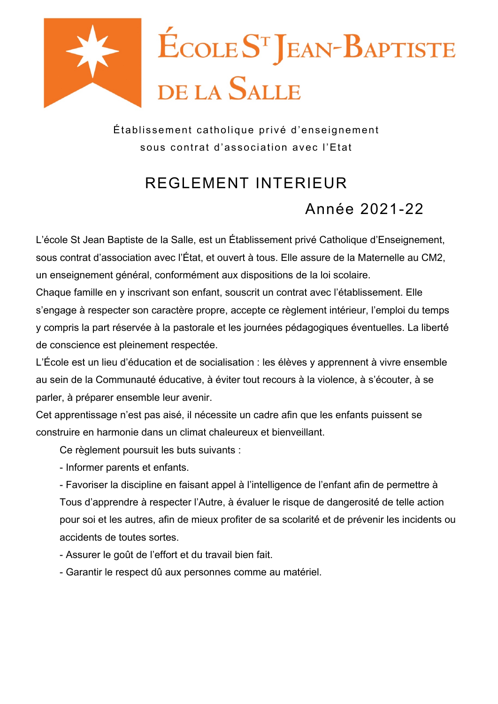

Établissement catholique privé d'enseignement sous contrat d'association avec l'Etat

# REGI EMENT INTERIFUR

Année 2021-22

L'école St Jean Baptiste de la Salle, est un Établissement privé Catholique d'Enseignement, sous contrat d'association avec l'État, et ouvert à tous. Elle assure de la Maternelle au CM2, un enseignement général, conformément aux dispositions de la loi scolaire.

Chaque famille en y inscrivant son enfant, souscrit un contrat avec l'établissement. Elle s'engage à respecter son caractère propre, accepte ce règlement intérieur, l'emploi du temps y compris la part réservée à la pastorale et les journées pédagogiques éventuelles. La liberté de conscience est pleinement respectée.

L'École est un lieu d'éducation et de socialisation : les élèves y apprennent à vivre ensemble au sein de la Communauté éducative, à éviter tout recours à la violence, à s'écouter, à se parler, à préparer ensemble leur avenir.

Cet apprentissage n'est pas aisé, il nécessite un cadre afin que les enfants puissent se construire en harmonie dans un climat chaleureux et bienveillant

Ce règlement poursuit les buts suivants :

- Informer parents et enfants.

- Favoriser la discipline en faisant appel à l'intelligence de l'enfant afin de permettre à Tous d'apprendre à respecter l'Autre, à évaluer le risque de dangerosité de telle action pour soi et les autres, afin de mieux profiter de sa scolarité et de prévenir les incidents ou accidents de toutes sortes.

- Assurer le goût de l'effort et du travail bien fait.
- Garantir le respect dû aux personnes comme au matériel.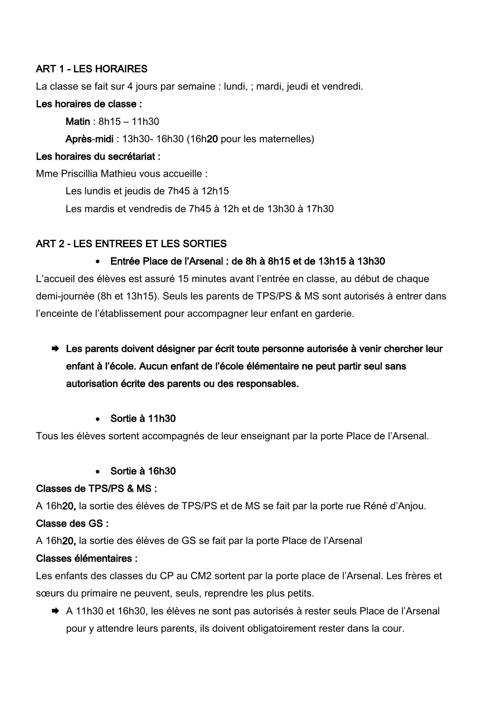# **ART 1 - LES HORAIRES**

La classe se fait sur 4 jours par semaine : lundi, ; mardi, jeudi et vendredi.

#### Les horaires de classe :

Matin:  $8h15 - 11h30$ 

Après-midi : 13h30-16h30 (16h20 pour les maternelles)

#### Les horaires du secrétariat :

Mme Priscillia Mathieu vous accueille :

Les lundis et jeudis de 7h45 à 12h15

Les mardis et vendredis de 7h45 à 12h et de 13h30 à 17h30

# ART 2 - LES ENTREES ET LES SORTIES

#### • Entrée Place de l'Arsenal : de 8h à 8h15 et de 13h15 à 13h30

L'accueil des élèves est assuré 15 minutes avant l'entrée en classe, au début de chaque demi-journée (8h et 13h15). Seuls les parents de TPS/PS & MS sont autorisés à entrer dans l'enceinte de l'établissement pour accompagner leur enfant en garderie.

- → Les parents doivent désigner par écrit toute personne autorisée à venir chercher leur enfant à l'école. Aucun enfant de l'école élémentaire ne peut partir seul sans autorisation écrite des parents ou des responsables.
	- Sortie à 11h30

Tous les élèves sortent accompagnés de leur enseignant par la porte Place de l'Arsenal.

• Sortie à 16h30

#### Classes de TPS/PS & MS :

A 16h20, la sortie des élèves de TPS/PS et de MS se fait par la porte rue Réné d'Anjou.

#### Classe des GS :

A 16h20, la sortie des élèves de GS se fait par la porte Place de l'Arsenal

#### Classes élémentaires :

Les enfants des classes du CP au CM2 sortent par la porte place de l'Arsenal. Les frères et sœurs du primaire ne peuvent, seuls, reprendre les plus petits.

A 11h30 et 16h30, les élèves ne sont pas autorisés à rester seuls Place de l'Arsenal pour y attendre leurs parents, ils doivent obligatoirement rester dans la cour.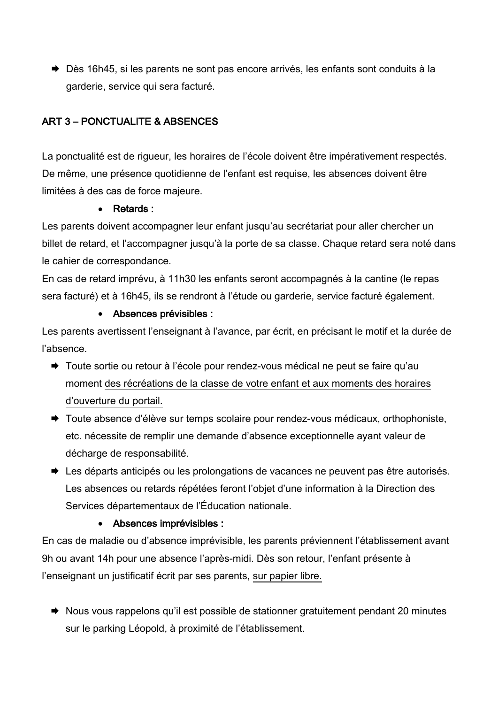→ Dès 16h45, si les parents ne sont pas encore arrivés, les enfants sont conduits à la garderie, service qui sera facturé.

# ART 3 - PONCTUALITE & ABSENCES

La ponctualité est de rigueur, les horaires de l'école doivent être impérativement respectés. De même, une présence quotidienne de l'enfant est requise, les absences doivent être limitées à des cas de force majeure.

# Retards:

Les parents doivent accompagner leur enfant jusqu'au secrétariat pour aller chercher un billet de retard, et l'accompagner jusqu'à la porte de sa classe. Chaque retard sera noté dans le cahier de correspondance.

En cas de retard imprévu, à 11h30 les enfants seront accompagnés à la cantine (le repas sera facturé) et à 16h45, ils se rendront à l'étude ou garderie, service facturé également.

# • Absences prévisibles :

Les parents avertissent l'enseignant à l'avance, par écrit, en précisant le motif et la durée de l'absence.

- → Toute sortie ou retour à l'école pour rendez-vous médical ne peut se faire qu'au moment des récréations de la classe de votre enfant et aux moments des horaires d'ouverture du portail.
- Toute absence d'élève sur temps scolaire pour rendez-vous médicaux, orthophoniste, etc. nécessite de remplir une demande d'absence exceptionnelle ayant valeur de décharge de responsabilité.
- ► Les départs anticipés ou les prolongations de vacances ne peuvent pas être autorisés. Les absences ou retards répétées feront l'objet d'une information à la Direction des Services départementaux de l'Éducation nationale.

# • Absences imprévisibles :

En cas de maladie ou d'absence imprévisible, les parents préviennent l'établissement avant 9h ou avant 14h pour une absence l'après-midi. Dès son retour, l'enfant présente à l'enseignant un justificatif écrit par ses parents, sur papier libre.

Nous vous rappelons qu'il est possible de stationner gratuitement pendant 20 minutes sur le parking Léopold, à proximité de l'établissement.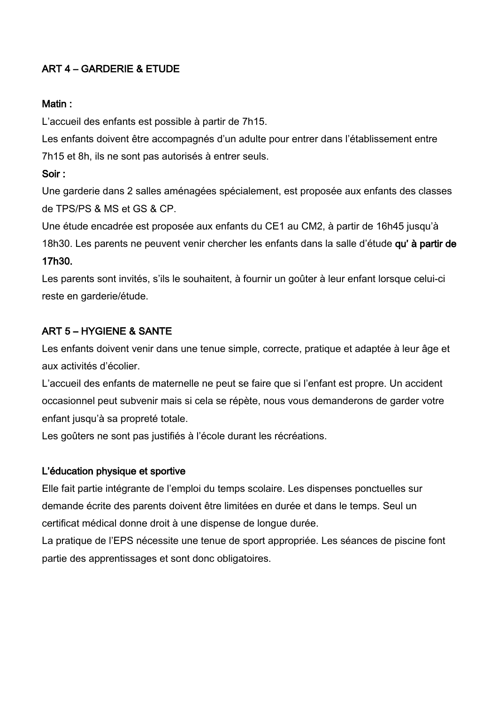# **ART 4 - GARDERIE & ETUDE**

#### Matin:

L'accueil des enfants est possible à partir de 7h15.

Les enfants doivent être accompagnés d'un adulte pour entrer dans l'établissement entre 7h15 et 8h, ils ne sont pas autorisés à entrer seuls.

# Soir:

Une garderie dans 2 salles aménagées spécialement, est proposée aux enfants des classes de TPS/PS & MS et GS & CP.

Une étude encadrée est proposée aux enfants du CE1 au CM2, à partir de 16h45 jusqu'à 18h30. Les parents ne peuvent venir chercher les enfants dans la salle d'étude qu' à partir de

#### 17h30.

Les parents sont invités, s'ils le souhaitent, à fournir un goûter à leur enfant lorsque celui-ci reste en garderie/étude.

# **ART 5 - HYGIENE & SANTE**

Les enfants doivent venir dans une tenue simple, correcte, pratique et adaptée à leur âge et aux activités d'écolier.

L'accueil des enfants de maternelle ne peut se faire que si l'enfant est propre. Un accident occasionnel peut subvenir mais si cela se répète, nous vous demanderons de garder votre enfant jusqu'à sa propreté totale.

Les goûters ne sont pas justifiés à l'école durant les récréations.

# L'éducation physique et sportive

Elle fait partie intégrante de l'emploi du temps scolaire. Les dispenses ponctuelles sur demande écrite des parents doivent être limitées en durée et dans le temps. Seul un certificat médical donne droit à une dispense de longue durée.

La pratique de l'EPS nécessite une tenue de sport appropriée. Les séances de piscine font partie des apprentissages et sont donc obligatoires.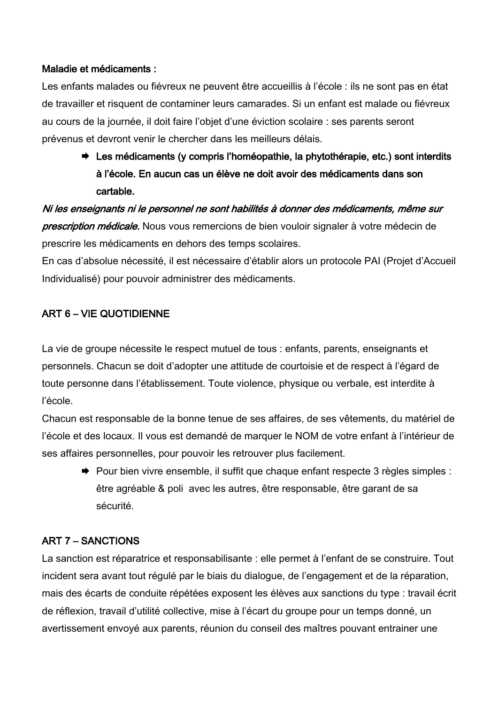#### Maladie et médicaments :

Les enfants malades ou fiévreux ne peuvent être accueillis à l'école : ils ne sont pas en état de travailler et risquent de contaminer leurs camarades. Si un enfant est malade ou fiévreux au cours de la journée, il doit faire l'obiet d'une éviction scolaire : ses parents seront prévenus et devront venir le chercher dans les meilleurs délais.

→ Les médicaments (y compris l'homéopathie, la phytothérapie, etc.) sont interdits à l'école. En aucun cas un élève ne doit avoir des médicaments dans son cartable.

Ni les enseignants ni le personnel ne sont habilités à donner des médicaments, même sur prescription médicale. Nous vous remercions de bien vouloir signaler à votre médecin de prescrire les médicaments en dehors des temps scolaires.

En cas d'absolue nécessité, il est nécessaire d'établir alors un protocole PAI (Projet d'Accueil Individualisé) pour pouvoir administrer des médicaments.

# ART 6 - VIE QUOTIDIENNE

La vie de groupe nécessite le respect mutuel de tous : enfants, parents, enseignants et personnels. Chacun se doit d'adopter une attitude de courtoisie et de respect à l'égard de toute personne dans l'établissement. Toute violence, physique ou verbale, est interdite à l'école.

Chacun est responsable de la bonne tenue de ses affaires, de ses vêtements, du matériel de l'école et des locaux. Il vous est demandé de marquer le NOM de votre enfant à l'intérieur de ses affaires personnelles, pour pouvoir les retrouver plus facilement.

→ Pour bien vivre ensemble, il suffit que chaque enfant respecte 3 règles simples : être agréable & poli avec les autres, être responsable, être garant de sa sécurité.

#### **ART 7 - SANCTIONS**

La sanction est réparatrice et responsabilisante : elle permet à l'enfant de se construire. Tout incident sera avant tout régulé par le biais du dialogue, de l'engagement et de la réparation, mais des écarts de conduite répétées exposent les élèves aux sanctions du type : travail écrit de réflexion, travail d'utilité collective, mise à l'écart du groupe pour un temps donné, un avertissement envoyé aux parents, réunion du conseil des maîtres pouvant entrainer une